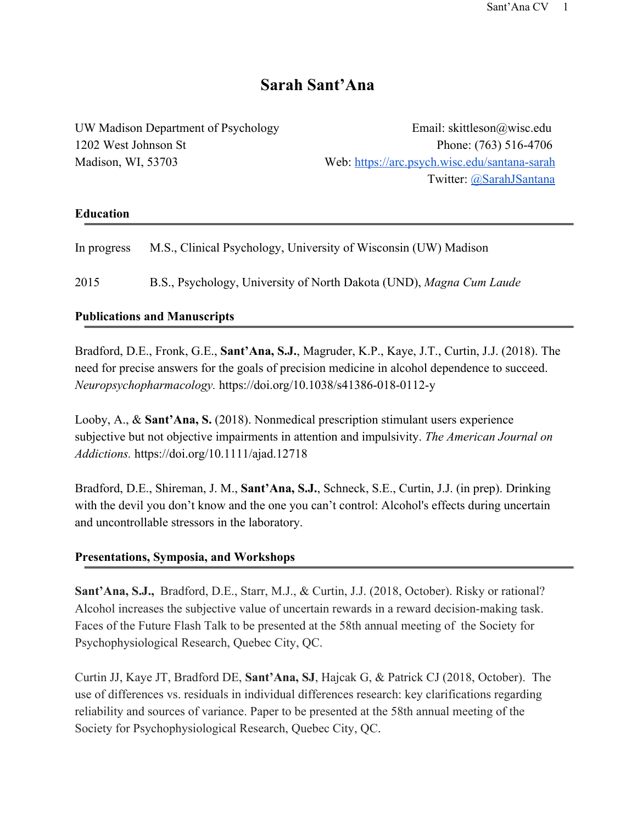# **Sarah Sant'Ana**

UW Madison Department of Psychology Email: skittleson@wisc.edu 1202 West Johnson St Phone: (763) 516-4706 Madison, WI, 53703 Web: [https://arc.psych.wisc.edu/santana-sarah](https://arc.psych.wisc.edu/santana-sarah/) Twitter: [@SarahJSantana](https://twitter.com/SarahJSantAna)

#### **Education**

| In progress | M.S., Clinical Psychology, University of Wisconsin (UW) Madison |
|-------------|-----------------------------------------------------------------|
|             |                                                                 |

2015 B.S., Psychology, University of North Dakota (UND), *Magna Cum Laude*

### **Publications and Manuscripts**

Bradford, D.E., Fronk, G.E., **Sant'Ana, S.J.**, Magruder, K.P., Kaye, J.T., Curtin, J.J. (2018). The need for precise answers for the goals of precision medicine in alcohol dependence to succeed. *Neuropsychopharmacology.* https://doi.org/10.1038/s41386-018-0112-y

Looby, A., & **Sant'Ana, S.** (2018). Nonmedical prescription stimulant users experience subjective but not objective impairments in attention and impulsivity. *The American Journal on Addictions.* https://doi.org/10.1111/ajad.12718

Bradford, D.E., Shireman, J. M., **Sant'Ana, S.J.**, Schneck, S.E., Curtin, J.J. (in prep). Drinking with the devil you don't know and the one you can't control: Alcohol's effects during uncertain and uncontrollable stressors in the laboratory.

#### **Presentations, Symposia, and Workshops**

**Sant'Ana, S.J.,**  Bradford, D.E., Starr, M.J., & Curtin, J.J. (2018, October). Risky or rational? Alcohol increases the subjective value of uncertain rewards in a reward decision-making task. Faces of the Future Flash Talk to be presented at the 58th annual meeting of the Society for Psychophysiological Research, Quebec City, QC.

Curtin JJ, Kaye JT, Bradford DE, **Sant'Ana, SJ**, Hajcak G, & Patrick CJ (2018, October). The use of differences vs. residuals in individual differences research: key clarifications regarding reliability and sources of variance. Paper to be presented at the 58th annual meeting of the Society for Psychophysiological Research, Quebec City, QC.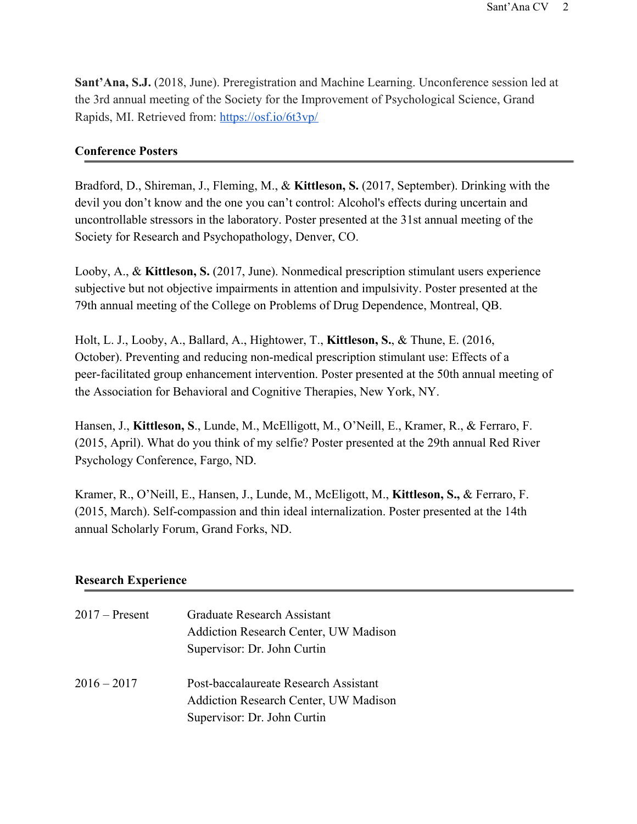**Sant'Ana, S.J.** (2018, June). Preregistration and Machine Learning. Unconference session led at the 3rd annual meeting of the Society for the Improvement of Psychological Science, Grand Rapids, MI. Retrieved from: <https://osf.io/6t3vp/>

#### **Conference Posters**

Bradford, D., Shireman, J., Fleming, M., & **Kittleson, S.** (2017, September). Drinking with the devil you don't know and the one you can't control: Alcohol's effects during uncertain and uncontrollable stressors in the laboratory. Poster presented at the 31st annual meeting of the Society for Research and Psychopathology, Denver, CO.

Looby, A., & **Kittleson, S.** (2017, June). Nonmedical prescription stimulant users experience subjective but not objective impairments in attention and impulsivity. Poster presented at the 79th annual meeting of the College on Problems of Drug Dependence, Montreal, QB.

Holt, L. J., Looby, A., Ballard, A., Hightower, T., **Kittleson, S.**, & Thune, E. (2016, October). Preventing and reducing non-medical prescription stimulant use: Effects of a peer-facilitated group enhancement intervention. Poster presented at the 50th annual meeting of the Association for Behavioral and Cognitive Therapies, New York, NY.

Hansen, J., **Kittleson, S**., Lunde, M., McElligott, M., O'Neill, E., Kramer, R., & Ferraro, F. (2015, April). What do you think of my selfie? Poster presented at the 29th annual Red River Psychology Conference, Fargo, ND.

Kramer, R., O'Neill, E., Hansen, J., Lunde, M., McEligott, M., **Kittleson, S.,** & Ferraro, F. (2015, March). Self-compassion and thin ideal internalization. Poster presented at the 14th annual Scholarly Forum, Grand Forks, ND.

#### **Research Experience**

| $2017 -$ Present | Graduate Research Assistant                                                           |
|------------------|---------------------------------------------------------------------------------------|
|                  | <b>Addiction Research Center, UW Madison</b>                                          |
|                  | Supervisor: Dr. John Curtin                                                           |
| $2016 - 2017$    | Post-baccalaureate Research Assistant<br><b>Addiction Research Center, UW Madison</b> |
|                  | Supervisor: Dr. John Curtin                                                           |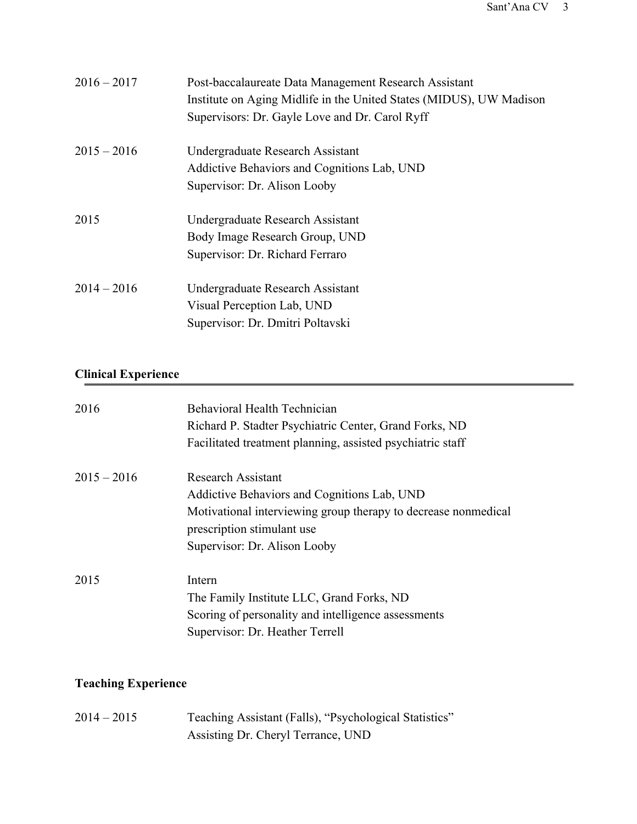| $2016 - 2017$ | Post-baccalaureate Data Management Research Assistant<br>Institute on Aging Midlife in the United States (MIDUS), UW Madison<br>Supervisors: Dr. Gayle Love and Dr. Carol Ryff |
|---------------|--------------------------------------------------------------------------------------------------------------------------------------------------------------------------------|
| $2015 - 2016$ | Undergraduate Research Assistant<br>Addictive Behaviors and Cognitions Lab, UND<br>Supervisor: Dr. Alison Looby                                                                |
| 2015          | Undergraduate Research Assistant<br>Body Image Research Group, UND<br>Supervisor: Dr. Richard Ferraro                                                                          |
| $2014 - 2016$ | Undergraduate Research Assistant<br>Visual Perception Lab, UND<br>Supervisor: Dr. Dmitri Poltavski                                                                             |

## **Clinical Experience**

| 2016          | <b>Behavioral Health Technician</b><br>Richard P. Stadter Psychiatric Center, Grand Forks, ND<br>Facilitated treatment planning, assisted psychiatric staff |
|---------------|-------------------------------------------------------------------------------------------------------------------------------------------------------------|
| $2015 - 2016$ | <b>Research Assistant</b>                                                                                                                                   |
|               | Addictive Behaviors and Cognitions Lab, UND                                                                                                                 |
|               | Motivational interviewing group therapy to decrease nonmedical<br>prescription stimulant use                                                                |
|               | Supervisor: Dr. Alison Looby                                                                                                                                |
| 2015          | Intern                                                                                                                                                      |
|               | The Family Institute LLC, Grand Forks, ND                                                                                                                   |
|               | Scoring of personality and intelligence assessments                                                                                                         |
|               | Supervisor: Dr. Heather Terrell                                                                                                                             |

## **Teaching Experience**

2014 – 2015 Teaching Assistant (Falls), "Psychological Statistics" Assisting Dr. Cheryl Terrance, UND